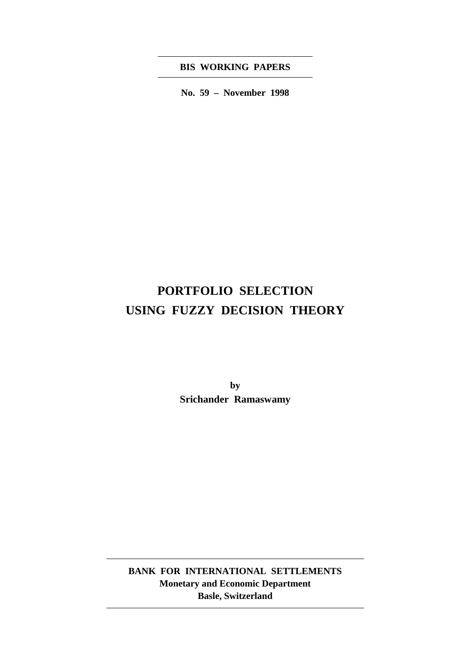## **BIS WORKING PAPERS**

**No. 59 – November 1998**

# **PORTFOLIO SELECTION USING FUZZY DECISION THEORY**

**by Srichander Ramaswamy**

**BANK FOR INTERNATIONAL SETTLEMENTS Monetary and Economic Department Basle, Switzerland**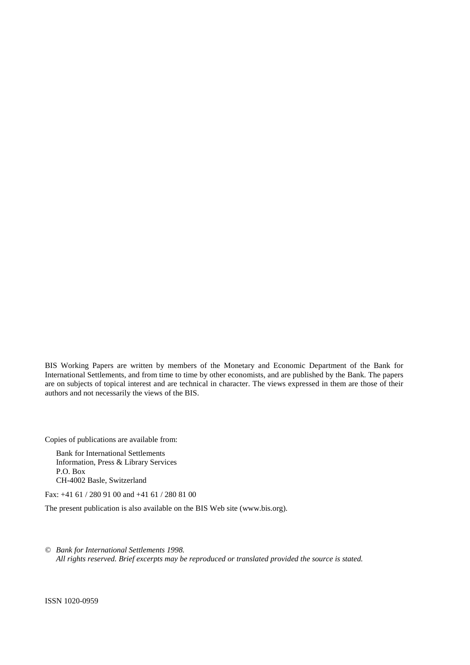BIS Working Papers are written by members of the Monetary and Economic Department of the Bank for International Settlements, and from time to time by other economists, and are published by the Bank. The papers are on subjects of topical interest and are technical in character. The views expressed in them are those of their authors and not necessarily the views of the BIS.

Copies of publications are available from:

Bank for International Settlements Information, Press & Library Services P.O. Box CH-4002 Basle, Switzerland

Fax: +41 61 / 280 91 00 and +41 61 / 280 81 00

The present publication is also available on the BIS Web site (www.bis.org).

*© Bank for International Settlements 1998. All rights reserved. Brief excerpts may be reproduced or translated provided the source is stated.*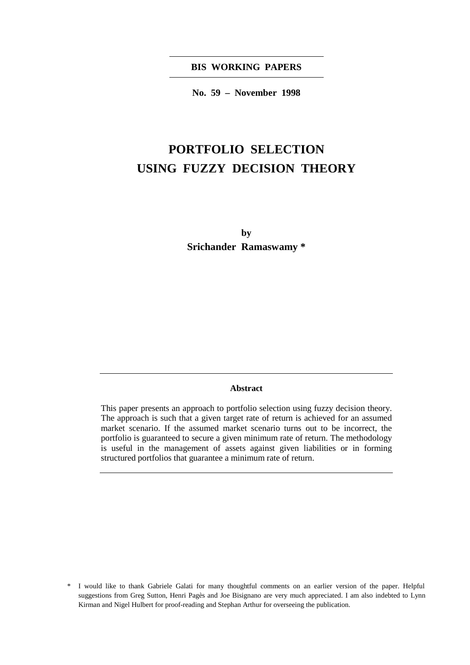**BIS WORKING PAPERS**

**No. 59 – November 1998**

# **PORTFOLIO SELECTION USING FUZZY DECISION THEORY**

**by Srichander Ramaswamy \***

#### **Abstract**

This paper presents an approach to portfolio selection using fuzzy decision theory. The approach is such that a given target rate of return is achieved for an assumed market scenario. If the assumed market scenario turns out to be incorrect, the portfolio is guaranteed to secure a given minimum rate of return. The methodology is useful in the management of assets against given liabilities or in forming structured portfolios that guarantee a minimum rate of return.

<sup>\*</sup> I would like to thank Gabriele Galati for many thoughtful comments on an earlier version of the paper. Helpful suggestions from Greg Sutton, Henri Pagès and Joe Bisignano are very much appreciated. I am also indebted to Lynn Kirman and Nigel Hulbert for proof-reading and Stephan Arthur for overseeing the publication.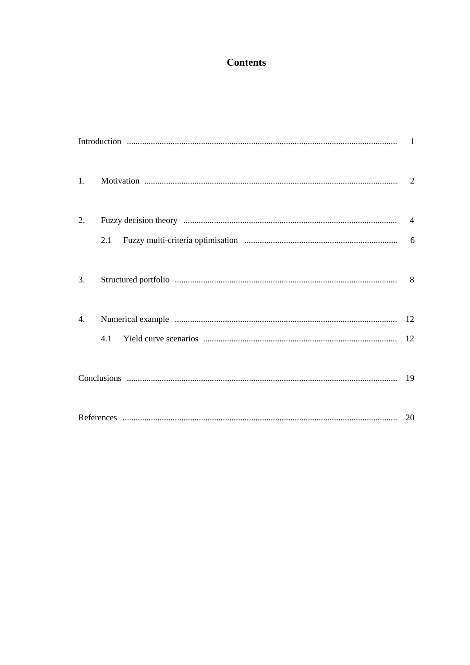## **Contents**

| 1.               |     |  |
|------------------|-----|--|
| $\overline{2}$ . |     |  |
|                  | 2.1 |  |
| 3.               |     |  |
| 4.               |     |  |
|                  | 4.1 |  |
|                  |     |  |
|                  |     |  |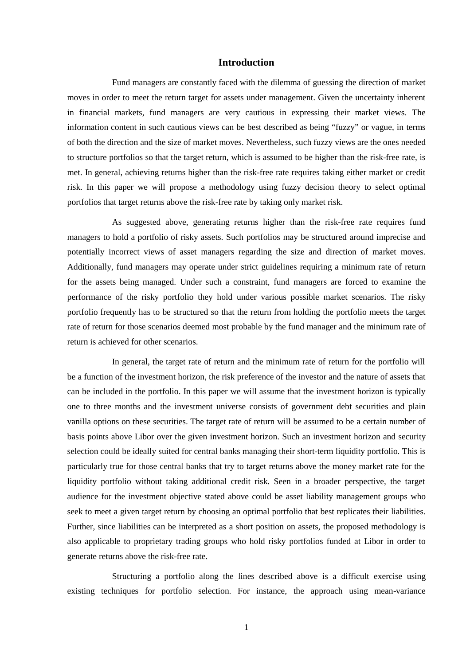## **Introduction**

Fund managers are constantly faced with the dilemma of guessing the direction of market moves in order to meet the return target for assets under management. Given the uncertainty inherent in financial markets, fund managers are very cautious in expressing their market views. The information content in such cautious views can be best described as being "fuzzy" or vague, in terms of both the direction and the size of market moves. Nevertheless, such fuzzy views are the ones needed to structure portfolios so that the target return, which is assumed to be higher than the risk-free rate, is met. In general, achieving returns higher than the risk-free rate requires taking either market or credit risk. In this paper we will propose a methodology using fuzzy decision theory to select optimal portfolios that target returns above the risk-free rate by taking only market risk.

As suggested above, generating returns higher than the risk-free rate requires fund managers to hold a portfolio of risky assets. Such portfolios may be structured around imprecise and potentially incorrect views of asset managers regarding the size and direction of market moves. Additionally, fund managers may operate under strict guidelines requiring a minimum rate of return for the assets being managed. Under such a constraint, fund managers are forced to examine the performance of the risky portfolio they hold under various possible market scenarios. The risky portfolio frequently has to be structured so that the return from holding the portfolio meets the target rate of return for those scenarios deemed most probable by the fund manager and the minimum rate of return is achieved for other scenarios.

In general, the target rate of return and the minimum rate of return for the portfolio will be a function of the investment horizon, the risk preference of the investor and the nature of assets that can be included in the portfolio. In this paper we will assume that the investment horizon is typically one to three months and the investment universe consists of government debt securities and plain vanilla options on these securities. The target rate of return will be assumed to be a certain number of basis points above Libor over the given investment horizon. Such an investment horizon and security selection could be ideally suited for central banks managing their short-term liquidity portfolio. This is particularly true for those central banks that try to target returns above the money market rate for the liquidity portfolio without taking additional credit risk. Seen in a broader perspective, the target audience for the investment objective stated above could be asset liability management groups who seek to meet a given target return by choosing an optimal portfolio that best replicates their liabilities. Further, since liabilities can be interpreted as a short position on assets, the proposed methodology is also applicable to proprietary trading groups who hold risky portfolios funded at Libor in order to generate returns above the risk-free rate.

Structuring a portfolio along the lines described above is a difficult exercise using existing techniques for portfolio selection. For instance, the approach using mean-variance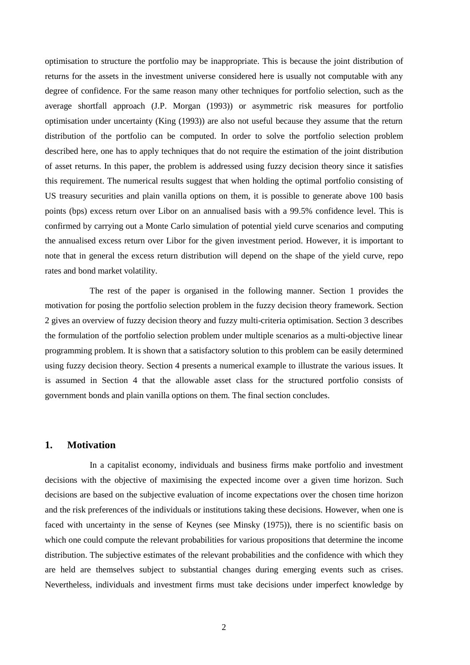optimisation to structure the portfolio may be inappropriate. This is because the joint distribution of returns for the assets in the investment universe considered here is usually not computable with any degree of confidence. For the same reason many other techniques for portfolio selection, such as the average shortfall approach (J.P. Morgan (1993)) or asymmetric risk measures for portfolio optimisation under uncertainty (King (1993)) are also not useful because they assume that the return distribution of the portfolio can be computed. In order to solve the portfolio selection problem described here, one has to apply techniques that do not require the estimation of the joint distribution of asset returns. In this paper, the problem is addressed using fuzzy decision theory since it satisfies this requirement. The numerical results suggest that when holding the optimal portfolio consisting of US treasury securities and plain vanilla options on them, it is possible to generate above 100 basis points (bps) excess return over Libor on an annualised basis with a 99.5% confidence level. This is confirmed by carrying out a Monte Carlo simulation of potential yield curve scenarios and computing the annualised excess return over Libor for the given investment period. However, it is important to note that in general the excess return distribution will depend on the shape of the yield curve, repo rates and bond market volatility.

The rest of the paper is organised in the following manner. Section 1 provides the motivation for posing the portfolio selection problem in the fuzzy decision theory framework. Section 2 gives an overview of fuzzy decision theory and fuzzy multi-criteria optimisation. Section 3 describes the formulation of the portfolio selection problem under multiple scenarios as a multi-objective linear programming problem. It is shown that a satisfactory solution to this problem can be easily determined using fuzzy decision theory. Section 4 presents a numerical example to illustrate the various issues. It is assumed in Section 4 that the allowable asset class for the structured portfolio consists of government bonds and plain vanilla options on them. The final section concludes.

### **1. Motivation**

In a capitalist economy, individuals and business firms make portfolio and investment decisions with the objective of maximising the expected income over a given time horizon. Such decisions are based on the subjective evaluation of income expectations over the chosen time horizon and the risk preferences of the individuals or institutions taking these decisions. However, when one is faced with uncertainty in the sense of Keynes (see Minsky (1975)), there is no scientific basis on which one could compute the relevant probabilities for various propositions that determine the income distribution. The subjective estimates of the relevant probabilities and the confidence with which they are held are themselves subject to substantial changes during emerging events such as crises. Nevertheless, individuals and investment firms must take decisions under imperfect knowledge by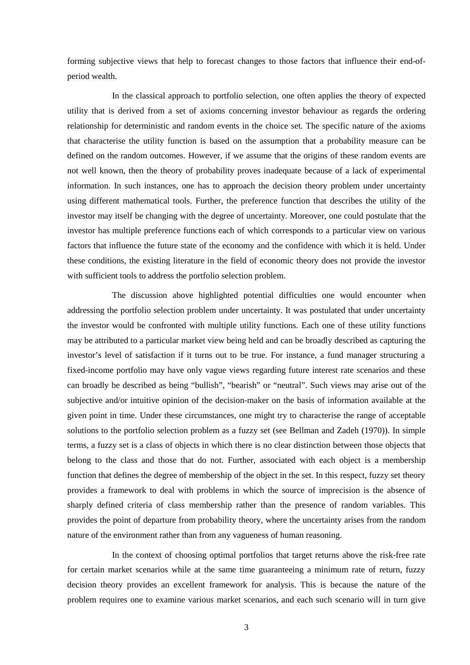forming subjective views that help to forecast changes to those factors that influence their end-ofperiod wealth.

In the classical approach to portfolio selection, one often applies the theory of expected utility that is derived from a set of axioms concerning investor behaviour as regards the ordering relationship for deterministic and random events in the choice set. The specific nature of the axioms that characterise the utility function is based on the assumption that a probability measure can be defined on the random outcomes. However, if we assume that the origins of these random events are not well known, then the theory of probability proves inadequate because of a lack of experimental information. In such instances, one has to approach the decision theory problem under uncertainty using different mathematical tools. Further, the preference function that describes the utility of the investor may itself be changing with the degree of uncertainty. Moreover, one could postulate that the investor has multiple preference functions each of which corresponds to a particular view on various factors that influence the future state of the economy and the confidence with which it is held. Under these conditions, the existing literature in the field of economic theory does not provide the investor with sufficient tools to address the portfolio selection problem.

The discussion above highlighted potential difficulties one would encounter when addressing the portfolio selection problem under uncertainty. It was postulated that under uncertainty the investor would be confronted with multiple utility functions. Each one of these utility functions may be attributed to a particular market view being held and can be broadly described as capturing the investor's level of satisfaction if it turns out to be true. For instance, a fund manager structuring a fixed-income portfolio may have only vague views regarding future interest rate scenarios and these can broadly be described as being "bullish", "bearish" or "neutral". Such views may arise out of the subjective and/or intuitive opinion of the decision-maker on the basis of information available at the given point in time. Under these circumstances, one might try to characterise the range of acceptable solutions to the portfolio selection problem as a fuzzy set (see Bellman and Zadeh (1970)). In simple terms, a fuzzy set is a class of objects in which there is no clear distinction between those objects that belong to the class and those that do not. Further, associated with each object is a membership function that defines the degree of membership of the object in the set. In this respect, fuzzy set theory provides a framework to deal with problems in which the source of imprecision is the absence of sharply defined criteria of class membership rather than the presence of random variables. This provides the point of departure from probability theory, where the uncertainty arises from the random nature of the environment rather than from any vagueness of human reasoning.

In the context of choosing optimal portfolios that target returns above the risk-free rate for certain market scenarios while at the same time guaranteeing a minimum rate of return, fuzzy decision theory provides an excellent framework for analysis. This is because the nature of the problem requires one to examine various market scenarios, and each such scenario will in turn give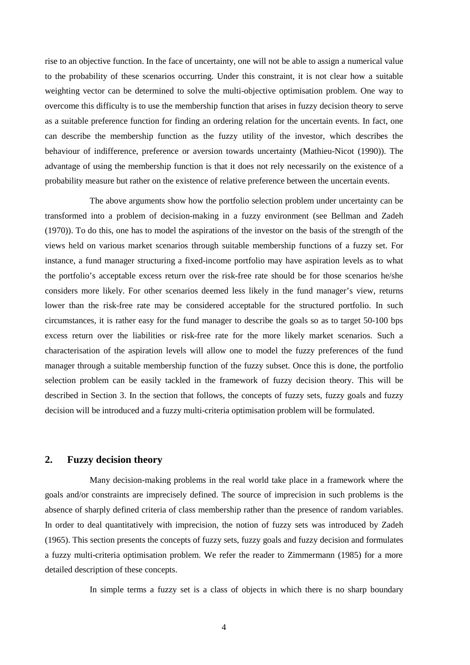rise to an objective function. In the face of uncertainty, one will not be able to assign a numerical value to the probability of these scenarios occurring. Under this constraint, it is not clear how a suitable weighting vector can be determined to solve the multi-objective optimisation problem. One way to overcome this difficulty is to use the membership function that arises in fuzzy decision theory to serve as a suitable preference function for finding an ordering relation for the uncertain events. In fact, one can describe the membership function as the fuzzy utility of the investor, which describes the behaviour of indifference, preference or aversion towards uncertainty (Mathieu-Nicot (1990)). The advantage of using the membership function is that it does not rely necessarily on the existence of a probability measure but rather on the existence of relative preference between the uncertain events.

The above arguments show how the portfolio selection problem under uncertainty can be transformed into a problem of decision-making in a fuzzy environment (see Bellman and Zadeh (1970)). To do this, one has to model the aspirations of the investor on the basis of the strength of the views held on various market scenarios through suitable membership functions of a fuzzy set. For instance, a fund manager structuring a fixed-income portfolio may have aspiration levels as to what the portfolio's acceptable excess return over the risk-free rate should be for those scenarios he/she considers more likely. For other scenarios deemed less likely in the fund manager's view, returns lower than the risk-free rate may be considered acceptable for the structured portfolio. In such circumstances, it is rather easy for the fund manager to describe the goals so as to target 50-100 bps excess return over the liabilities or risk-free rate for the more likely market scenarios. Such a characterisation of the aspiration levels will allow one to model the fuzzy preferences of the fund manager through a suitable membership function of the fuzzy subset. Once this is done, the portfolio selection problem can be easily tackled in the framework of fuzzy decision theory. This will be described in Section 3. In the section that follows, the concepts of fuzzy sets, fuzzy goals and fuzzy decision will be introduced and a fuzzy multi-criteria optimisation problem will be formulated.

### **2. Fuzzy decision theory**

Many decision-making problems in the real world take place in a framework where the goals and/or constraints are imprecisely defined. The source of imprecision in such problems is the absence of sharply defined criteria of class membership rather than the presence of random variables. In order to deal quantitatively with imprecision, the notion of fuzzy sets was introduced by Zadeh (1965). This section presents the concepts of fuzzy sets, fuzzy goals and fuzzy decision and formulates a fuzzy multi-criteria optimisation problem. We refer the reader to Zimmermann (1985) for a more detailed description of these concepts.

In simple terms a fuzzy set is a class of objects in which there is no sharp boundary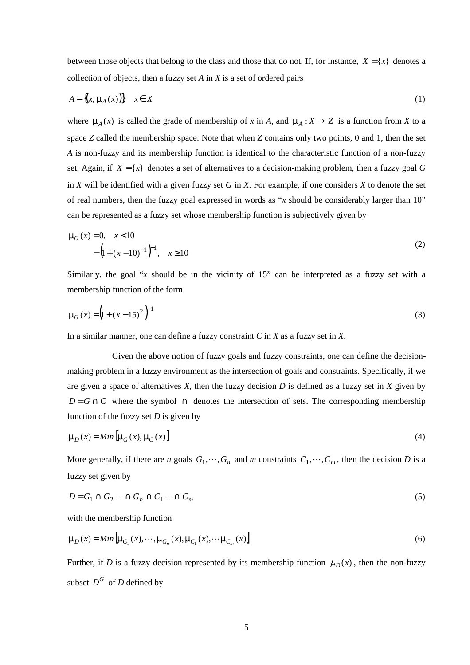between those objects that belong to the class and those that do not. If, for instance,  $X = \{x\}$  denotes a collection of objects, then a fuzzy set *A* in *X* is a set of ordered pairs

$$
A = \{(x, \mu_A(x))\} \quad x \in X \tag{1}
$$

where  $\mu_A(x)$  is called the grade of membership of *x* in *A*, and  $\mu_A : X \to Z$  is a function from *X* to a space *Z* called the membership space. Note that when *Z* contains only two points, 0 and 1, then the set *A* is non-fuzzy and its membership function is identical to the characteristic function of a non-fuzzy set. Again, if  $X = \{x\}$  denotes a set of alternatives to a decision-making problem, then a fuzzy goal G in *X* will be identified with a given fuzzy set *G* in *X*. For example, if one considers *X* to denote the set of real numbers, then the fuzzy goal expressed in words as "*x* should be considerably larger than 10" can be represented as a fuzzy set whose membership function is subjectively given by

$$
\mu_G(x) = 0, \quad x < 10
$$
  
=  $\left(1 + (x - 10)^{-1}\right)^{-1}, \quad x \ge 10$  (2)

Similarly, the goal "*x* should be in the vicinity of 15" can be interpreted as a fuzzy set with a membership function of the form

$$
\mu_G(x) = \left(1 + (x - 15)^2\right)^{-1}
$$
 (3)

In a similar manner, one can define a fuzzy constraint *C* in *X* as a fuzzy set in *X*.

Given the above notion of fuzzy goals and fuzzy constraints, one can define the decisionmaking problem in a fuzzy environment as the intersection of goals and constraints. Specifically, if we are given a space of alternatives  $X$ , then the fuzzy decision  $D$  is defined as a fuzzy set in  $X$  given by  $D = G \cap C$  where the symbol  $\cap$  denotes the intersection of sets. The corresponding membership function of the fuzzy set *D* is given by

$$
\mu_D(x) = Min \left[ \mu_G(x), \mu_C(x) \right] \tag{4}
$$

More generally, if there are *n* goals  $G_1, \dots, G_n$  and *m* constraints  $C_1, \dots, C_m$ , then the decision *D* is a fuzzy set given by

$$
D = G_1 \cap G_2 \cdots \cap G_n \cap C_1 \cdots \cap C_m \tag{5}
$$

with the membership function

$$
\mu_D(x) = Min \left[ \mu_{G_1}(x), \cdots, \mu_{G_n}(x), \mu_{C_1}(x), \cdots, \mu_{C_m}(x) \right]
$$
\n
$$
(6)
$$

Further, if *D* is a fuzzy decision represented by its membership function  $\mu_D(x)$ , then the non-fuzzy subset  $D^G$  of *D* defined by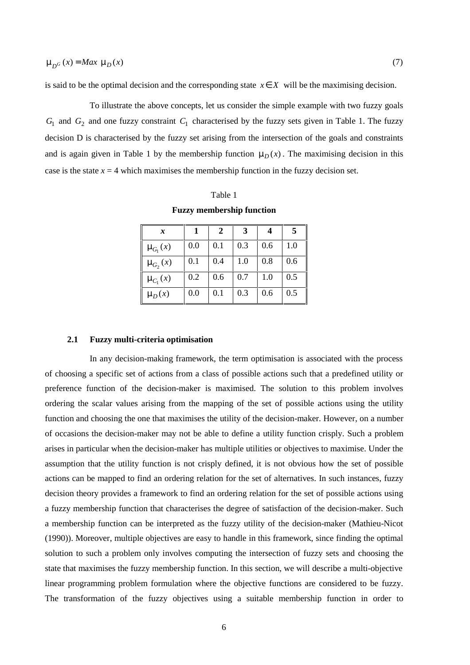is said to be the optimal decision and the corresponding state  $x \in X$  will be the maximising decision.

To illustrate the above concepts, let us consider the simple example with two fuzzy goals  $G_1$  and  $G_2$  and one fuzzy constraint  $C_1$  characterised by the fuzzy sets given in Table 1. The fuzzy decision D is characterised by the fuzzy set arising from the intersection of the goals and constraints and is again given in Table 1 by the membership function  $\mu_D(x)$ . The maximising decision in this case is the state  $x = 4$  which maximises the membership function in the fuzzy decision set.

#### Table 1

**Fuzzy membership function**

| x              |     | $\mathbf{2}$ | 3   |     | 5   |
|----------------|-----|--------------|-----|-----|-----|
| $\mu_{G_1}(x)$ | 0.0 | 0.1          | 0.3 | 0.6 | 1.0 |
| $\mu_{G_2}(x)$ | 0.1 | 0.4          | 1.0 | 0.8 | 0.6 |
| $\mu_{C_1}(x)$ | 0.2 | 0.6          | 0.7 | 1.0 | 0.5 |
| $\mu_D(x)$     | 0.0 | 0.1          | 0.3 | 0.6 | 0.5 |

#### **2.1 Fuzzy multi-criteria optimisation**

In any decision-making framework, the term optimisation is associated with the process of choosing a specific set of actions from a class of possible actions such that a predefined utility or preference function of the decision-maker is maximised. The solution to this problem involves ordering the scalar values arising from the mapping of the set of possible actions using the utility function and choosing the one that maximises the utility of the decision-maker. However, on a number of occasions the decision-maker may not be able to define a utility function crisply. Such a problem arises in particular when the decision-maker has multiple utilities or objectives to maximise. Under the assumption that the utility function is not crisply defined, it is not obvious how the set of possible actions can be mapped to find an ordering relation for the set of alternatives. In such instances, fuzzy decision theory provides a framework to find an ordering relation for the set of possible actions using a fuzzy membership function that characterises the degree of satisfaction of the decision-maker. Such a membership function can be interpreted as the fuzzy utility of the decision-maker (Mathieu-Nicot (1990)). Moreover, multiple objectives are easy to handle in this framework, since finding the optimal solution to such a problem only involves computing the intersection of fuzzy sets and choosing the state that maximises the fuzzy membership function. In this section, we will describe a multi-objective linear programming problem formulation where the objective functions are considered to be fuzzy. The transformation of the fuzzy objectives using a suitable membership function in order to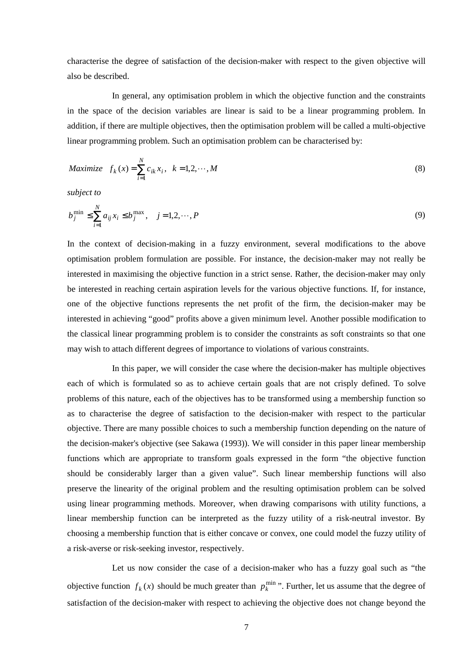characterise the degree of satisfaction of the decision-maker with respect to the given objective will also be described.

In general, any optimisation problem in which the objective function and the constraints in the space of the decision variables are linear is said to be a linear programming problem. In addition, if there are multiple objectives, then the optimisation problem will be called a multi-objective linear programming problem. Such an optimisation problem can be characterised by:

$$
Maximize \t f_k(x) = \sum_{i=1}^{N} c_{ik} x_i, \t k = 1, 2, \cdots, M
$$
\t(8)

*subject to*

$$
b_j^{\min} \le \sum_{i=1}^N a_{ij} x_i \le b_j^{\max}, \quad j = 1, 2, \cdots, P
$$
 (9)

In the context of decision-making in a fuzzy environment, several modifications to the above optimisation problem formulation are possible. For instance, the decision-maker may not really be interested in maximising the objective function in a strict sense. Rather, the decision-maker may only be interested in reaching certain aspiration levels for the various objective functions. If, for instance, one of the objective functions represents the net profit of the firm, the decision-maker may be interested in achieving "good" profits above a given minimum level. Another possible modification to the classical linear programming problem is to consider the constraints as soft constraints so that one may wish to attach different degrees of importance to violations of various constraints.

In this paper, we will consider the case where the decision-maker has multiple objectives each of which is formulated so as to achieve certain goals that are not crisply defined. To solve problems of this nature, each of the objectives has to be transformed using a membership function so as to characterise the degree of satisfaction to the decision-maker with respect to the particular objective. There are many possible choices to such a membership function depending on the nature of the decision-maker's objective (see Sakawa (1993)). We will consider in this paper linear membership functions which are appropriate to transform goals expressed in the form "the objective function should be considerably larger than a given value". Such linear membership functions will also preserve the linearity of the original problem and the resulting optimisation problem can be solved using linear programming methods. Moreover, when drawing comparisons with utility functions, a linear membership function can be interpreted as the fuzzy utility of a risk-neutral investor. By choosing a membership function that is either concave or convex, one could model the fuzzy utility of a risk-averse or risk-seeking investor, respectively.

Let us now consider the case of a decision-maker who has a fuzzy goal such as "the objective function  $f_k(x)$  should be much greater than  $p_k^{\min}$ . Further, let us assume that the degree of satisfaction of the decision-maker with respect to achieving the objective does not change beyond the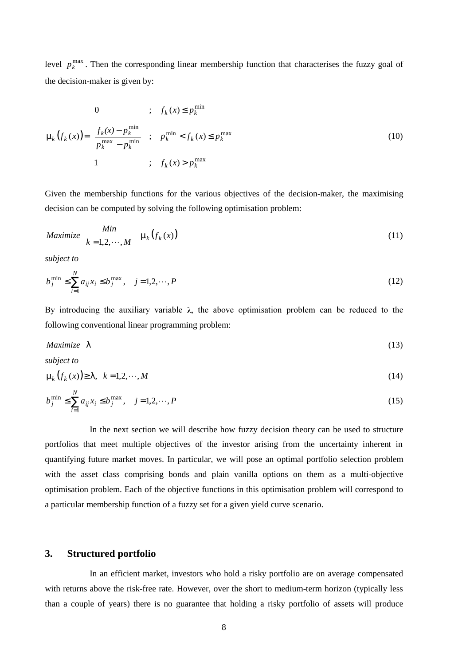level  $p_k^{\max}$ . Then the corresponding linear membership function that characterises the fuzzy goal of the decision-maker is given by:

$$
\mu_{k}(f_{k}(x)) = \begin{cases}\n0 & ; & f_{k}(x) \le p_{k}^{\min} \\
\frac{f_{k}(x) - p_{k}^{\min}}{p_{k}^{\max} - p_{k}^{\min}} & ; & p_{k}^{\min} < f_{k}(x) \le p_{k}^{\max} \\
1 & ; & f_{k}(x) > p_{k}^{\max}\n\end{cases} \tag{10}
$$

Given the membership functions for the various objectives of the decision-maker, the maximising decision can be computed by solving the following optimisation problem:

$$
Maximize \quad Min \quad \mu_k(f_k(x)) \tag{11}
$$
\n
$$
k = 1, 2, \cdots, M \quad \mu_k(f_k(x))
$$

*subject to*

$$
b_j^{\min} \le \sum_{i=1}^N a_{ij} x_i \le b_j^{\max}, \quad j = 1, 2, \cdots, P
$$
 (12)

By introducing the auxiliary variable  $\lambda$ , the above optimisation problem can be reduced to the following conventional linear programming problem:

$$
Maximize \ \lambda \tag{13}
$$

*subject to*

$$
\mu_k(f_k(x)) \ge \lambda, \quad k = 1, 2, \cdots, M \tag{14}
$$

$$
b_j^{\min} \le \sum_{i=1}^N a_{ij} x_i \le b_j^{\max}, \quad j = 1, 2, \cdots, P
$$
 (15)

In the next section we will describe how fuzzy decision theory can be used to structure portfolios that meet multiple objectives of the investor arising from the uncertainty inherent in quantifying future market moves. In particular, we will pose an optimal portfolio selection problem with the asset class comprising bonds and plain vanilla options on them as a multi-objective optimisation problem. Each of the objective functions in this optimisation problem will correspond to a particular membership function of a fuzzy set for a given yield curve scenario.

### **3. Structured portfolio**

In an efficient market, investors who hold a risky portfolio are on average compensated with returns above the risk-free rate. However, over the short to medium-term horizon (typically less than a couple of years) there is no guarantee that holding a risky portfolio of assets will produce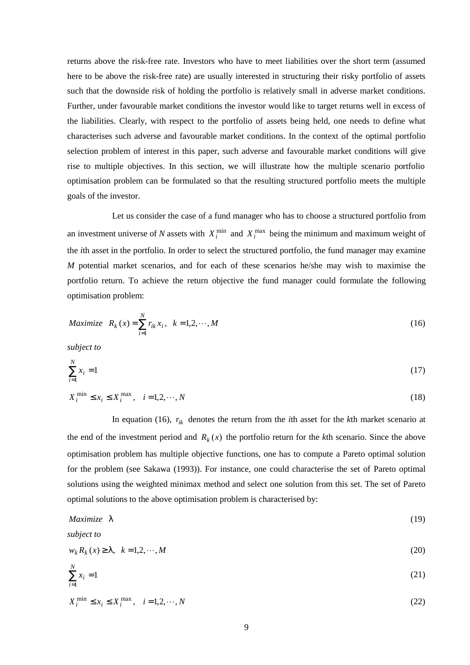returns above the risk-free rate. Investors who have to meet liabilities over the short term (assumed here to be above the risk-free rate) are usually interested in structuring their risky portfolio of assets such that the downside risk of holding the portfolio is relatively small in adverse market conditions. Further, under favourable market conditions the investor would like to target returns well in excess of the liabilities. Clearly, with respect to the portfolio of assets being held, one needs to define what characterises such adverse and favourable market conditions. In the context of the optimal portfolio selection problem of interest in this paper, such adverse and favourable market conditions will give rise to multiple objectives. In this section, we will illustrate how the multiple scenario portfolio optimisation problem can be formulated so that the resulting structured portfolio meets the multiple goals of the investor.

Let us consider the case of a fund manager who has to choose a structured portfolio from an investment universe of *N* assets with  $X_i^{\min}$  and  $X_i^{\max}$  being the minimum and maximum weight of the *i*th asset in the portfolio. In order to select the structured portfolio, the fund manager may examine *M* potential market scenarios, and for each of these scenarios he/she may wish to maximise the portfolio return. To achieve the return objective the fund manager could formulate the following optimisation problem:

$$
Maximize \t R_k(x) = \sum_{i=1}^{N} r_{ik} x_i, \t k = 1, 2, \cdots, M
$$
\t(16)

*subject to*

$$
\sum_{i=1}^{N} x_i = 1 \tag{17}
$$

$$
X_i^{\min} \le x_i \le X_i^{\max}, \quad i = 1, 2, \cdots, N
$$
\n<sup>(18)</sup>

In equation (16),  $r_{ik}$  denotes the return from the *i*th asset for the *k*th market scenario at the end of the investment period and  $R_k(x)$  the portfolio return for the *k*th scenario. Since the above optimisation problem has multiple objective functions, one has to compute a Pareto optimal solution for the problem (see Sakawa (1993)). For instance, one could characterise the set of Pareto optimal solutions using the weighted minimax method and select one solution from this set. The set of Pareto optimal solutions to the above optimisation problem is characterised by:

$$
Maximize \ \lambda \tag{19}
$$

*subject to*

$$
w_k R_k(x) \ge \lambda, \quad k = 1, 2, \cdots, M
$$
\n<sup>(20)</sup>

$$
\sum_{i=1}^{N} x_i = 1\tag{21}
$$

$$
X_i^{\min} \le x_i \le X_i^{\max}, \quad i = 1, 2, \cdots, N
$$
\n
$$
(22)
$$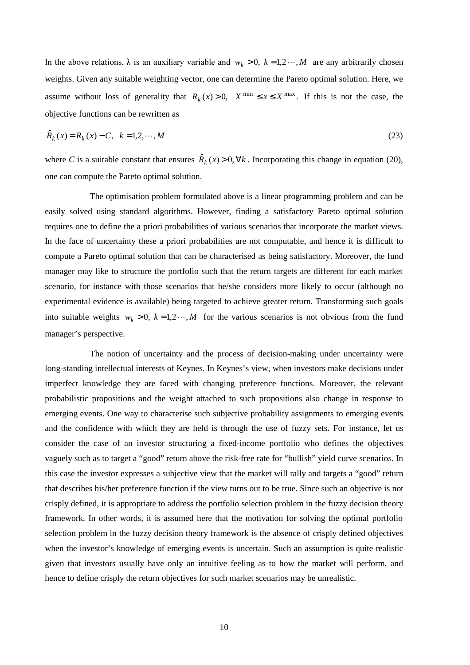In the above relations,  $\lambda$  is an auxiliary variable and  $w_k > 0$ ,  $k = 1,2\cdots, M$  are any arbitrarily chosen weights. Given any suitable weighting vector, one can determine the Pareto optimal solution. Here, we assume without loss of generality that  $R_k(x) > 0$ ,  $X^{\min} \le x \le X^{\max}$ . If this is not the case, the objective functions can be rewritten as

$$
\hat{R}_k(x) = R_k(x) - C, \quad k = 1, 2, \cdots, M
$$
\n(23)

where *C* is a suitable constant that ensures  $\hat{R}_k(x) > 0, \forall k$ . Incorporating this change in equation (20), one can compute the Pareto optimal solution.

The optimisation problem formulated above is a linear programming problem and can be easily solved using standard algorithms. However, finding a satisfactory Pareto optimal solution requires one to define the a priori probabilities of various scenarios that incorporate the market views. In the face of uncertainty these a priori probabilities are not computable, and hence it is difficult to compute a Pareto optimal solution that can be characterised as being satisfactory. Moreover, the fund manager may like to structure the portfolio such that the return targets are different for each market scenario, for instance with those scenarios that he/she considers more likely to occur (although no experimental evidence is available) being targeted to achieve greater return. Transforming such goals into suitable weights  $w_k > 0$ ,  $k = 1, 2, \dots, M$  for the various scenarios is not obvious from the fund manager's perspective.

The notion of uncertainty and the process of decision-making under uncertainty were long-standing intellectual interests of Keynes. In Keynes's view, when investors make decisions under imperfect knowledge they are faced with changing preference functions. Moreover, the relevant probabilistic propositions and the weight attached to such propositions also change in response to emerging events. One way to characterise such subjective probability assignments to emerging events and the confidence with which they are held is through the use of fuzzy sets. For instance, let us consider the case of an investor structuring a fixed-income portfolio who defines the objectives vaguely such as to target a "good" return above the risk-free rate for "bullish" yield curve scenarios. In this case the investor expresses a subjective view that the market will rally and targets a "good" return that describes his/her preference function if the view turns out to be true. Since such an objective is not crisply defined, it is appropriate to address the portfolio selection problem in the fuzzy decision theory framework. In other words, it is assumed here that the motivation for solving the optimal portfolio selection problem in the fuzzy decision theory framework is the absence of crisply defined objectives when the investor's knowledge of emerging events is uncertain. Such an assumption is quite realistic given that investors usually have only an intuitive feeling as to how the market will perform, and hence to define crisply the return objectives for such market scenarios may be unrealistic.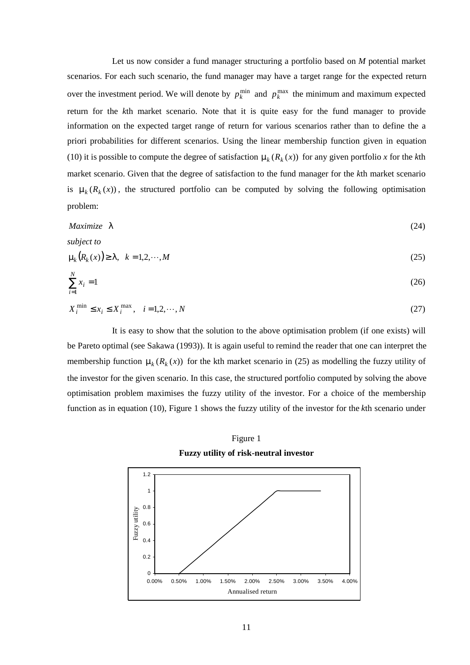Let us now consider a fund manager structuring a portfolio based on *M* potential market scenarios. For each such scenario, the fund manager may have a target range for the expected return over the investment period. We will denote by  $p_k^{\min}$  and  $p_k^{\max}$  the minimum and maximum expected return for the *k*th market scenario. Note that it is quite easy for the fund manager to provide information on the expected target range of return for various scenarios rather than to define the a priori probabilities for different scenarios. Using the linear membership function given in equation (10) it is possible to compute the degree of satisfaction  $\mu_k(R_k(x))$  for any given portfolio *x* for the *k*th market scenario. Given that the degree of satisfaction to the fund manager for the *k*th market scenario is  $\mu_k(R_k(x))$ , the structured portfolio can be computed by solving the following optimisation problem:

$$
Maximize \ \lambda \tag{24}
$$

*subject to*

$$
\mu_k(R_k(x)) \ge \lambda, \quad k = 1, 2, \cdots, M \tag{25}
$$

$$
\sum_{i=1}^{N} x_i = 1\tag{26}
$$

$$
X_i^{\min} \le x_i \le X_i^{\max}, \quad i = 1, 2, \cdots, N
$$
\n
$$
(27)
$$

It is easy to show that the solution to the above optimisation problem (if one exists) will be Pareto optimal (see Sakawa (1993)). It is again useful to remind the reader that one can interpret the membership function  $\mu_k(R_k(x))$  for the kth market scenario in (25) as modelling the fuzzy utility of the investor for the given scenario. In this case, the structured portfolio computed by solving the above optimisation problem maximises the fuzzy utility of the investor. For a choice of the membership function as in equation (10), Figure 1 shows the fuzzy utility of the investor for the *k*th scenario under



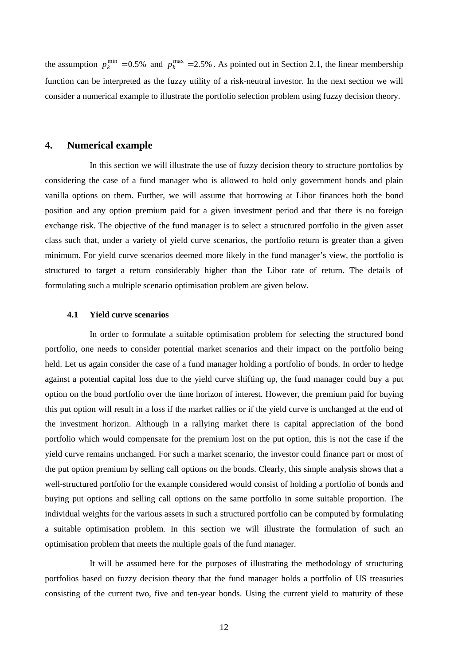the assumption  $p_k^{\min} = 0.5\%$  and  $p_k^{\max} = 2.5\%$ . As pointed out in Section 2.1, the linear membership function can be interpreted as the fuzzy utility of a risk-neutral investor. In the next section we will consider a numerical example to illustrate the portfolio selection problem using fuzzy decision theory.

## **4. Numerical example**

In this section we will illustrate the use of fuzzy decision theory to structure portfolios by considering the case of a fund manager who is allowed to hold only government bonds and plain vanilla options on them. Further, we will assume that borrowing at Libor finances both the bond position and any option premium paid for a given investment period and that there is no foreign exchange risk. The objective of the fund manager is to select a structured portfolio in the given asset class such that, under a variety of yield curve scenarios, the portfolio return is greater than a given minimum. For yield curve scenarios deemed more likely in the fund manager's view, the portfolio is structured to target a return considerably higher than the Libor rate of return. The details of formulating such a multiple scenario optimisation problem are given below.

#### **4.1 Yield curve scenarios**

In order to formulate a suitable optimisation problem for selecting the structured bond portfolio, one needs to consider potential market scenarios and their impact on the portfolio being held. Let us again consider the case of a fund manager holding a portfolio of bonds. In order to hedge against a potential capital loss due to the yield curve shifting up, the fund manager could buy a put option on the bond portfolio over the time horizon of interest. However, the premium paid for buying this put option will result in a loss if the market rallies or if the yield curve is unchanged at the end of the investment horizon. Although in a rallying market there is capital appreciation of the bond portfolio which would compensate for the premium lost on the put option, this is not the case if the yield curve remains unchanged. For such a market scenario, the investor could finance part or most of the put option premium by selling call options on the bonds. Clearly, this simple analysis shows that a well-structured portfolio for the example considered would consist of holding a portfolio of bonds and buying put options and selling call options on the same portfolio in some suitable proportion. The individual weights for the various assets in such a structured portfolio can be computed by formulating a suitable optimisation problem. In this section we will illustrate the formulation of such an optimisation problem that meets the multiple goals of the fund manager.

It will be assumed here for the purposes of illustrating the methodology of structuring portfolios based on fuzzy decision theory that the fund manager holds a portfolio of US treasuries consisting of the current two, five and ten-year bonds. Using the current yield to maturity of these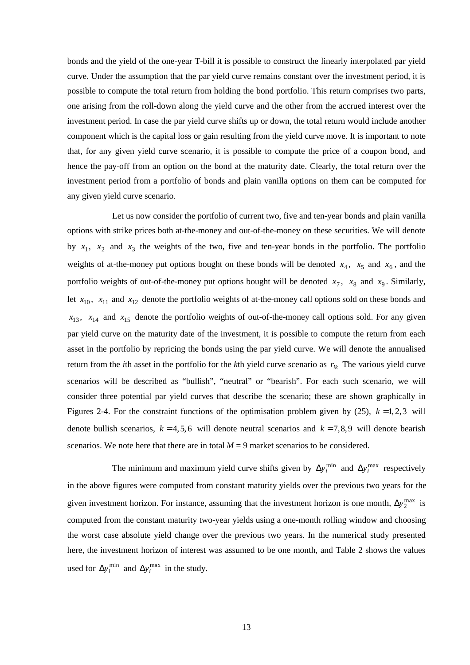bonds and the yield of the one-year T-bill it is possible to construct the linearly interpolated par yield curve. Under the assumption that the par yield curve remains constant over the investment period, it is possible to compute the total return from holding the bond portfolio. This return comprises two parts, one arising from the roll-down along the yield curve and the other from the accrued interest over the investment period. In case the par yield curve shifts up or down, the total return would include another component which is the capital loss or gain resulting from the yield curve move. It is important to note that, for any given yield curve scenario, it is possible to compute the price of a coupon bond, and hence the pay-off from an option on the bond at the maturity date. Clearly, the total return over the investment period from a portfolio of bonds and plain vanilla options on them can be computed for any given yield curve scenario.

Let us now consider the portfolio of current two, five and ten-year bonds and plain vanilla options with strike prices both at-the-money and out-of-the-money on these securities. We will denote by  $x_1$ ,  $x_2$  and  $x_3$  the weights of the two, five and ten-year bonds in the portfolio. The portfolio weights of at-the-money put options bought on these bonds will be denoted  $x_4$ ,  $x_5$  and  $x_6$ , and the portfolio weights of out-of-the-money put options bought will be denoted  $x_7$ ,  $x_8$  and  $x_9$ . Similarly, let  $x_{10}$ ,  $x_{11}$  and  $x_{12}$  denote the portfolio weights of at-the-money call options sold on these bonds and  $x_{13}$ ,  $x_{14}$  and  $x_{15}$  denote the portfolio weights of out-of-the-money call options sold. For any given par yield curve on the maturity date of the investment, it is possible to compute the return from each asset in the portfolio by repricing the bonds using the par yield curve. We will denote the annualised return from the *i*th asset in the portfolio for the *k*th yield curve scenario as  $r_{ik}$  The various yield curve scenarios will be described as "bullish", "neutral" or "bearish". For each such scenario, we will consider three potential par yield curves that describe the scenario; these are shown graphically in Figures 2-4. For the constraint functions of the optimisation problem given by  $(25)$ ,  $k = 1, 2, 3$  will denote bullish scenarios,  $k = 4, 5, 6$  will denote neutral scenarios and  $k = 7, 8, 9$  will denote bearish scenarios. We note here that there are in total  $M = 9$  market scenarios to be considered.

The minimum and maximum yield curve shifts given by  $\Delta y_i^{\min}$  and  $\Delta y_i^{\max}$  respectively in the above figures were computed from constant maturity yields over the previous two years for the given investment horizon. For instance, assuming that the investment horizon is one month,  $\Delta y_2^{\text{max}}$  is computed from the constant maturity two-year yields using a one-month rolling window and choosing the worst case absolute yield change over the previous two years. In the numerical study presented here, the investment horizon of interest was assumed to be one month, and Table 2 shows the values used for  $\Delta y_i^{\text{min}}$  and  $\Delta y_i^{\text{max}}$  in the study.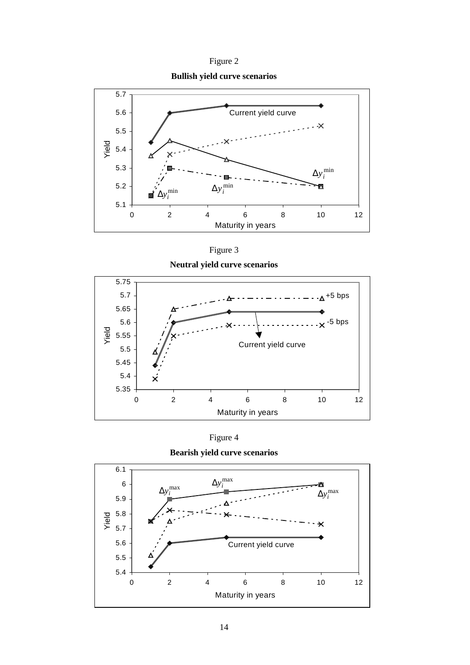Figure 2

**Bullish yield curve scenarios**



Figure 3









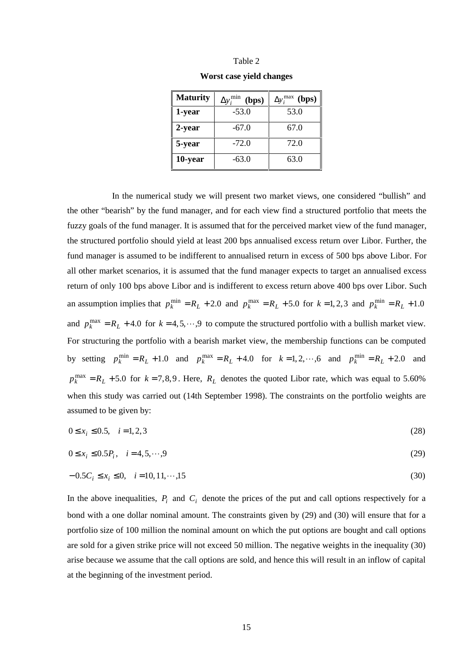| anie |  |
|------|--|
|------|--|

|  |  |  |  | Worst case yield changes |
|--|--|--|--|--------------------------|
|--|--|--|--|--------------------------|

| <b>Maturity</b> | min<br>(bps)<br>$\Delta y$ | $\Delta y_i^{\max}$<br>(bps) |
|-----------------|----------------------------|------------------------------|
| 1-year          | $-53.0$                    | 53.0                         |
| 2-year          | $-67.0$                    | 67.0                         |
| 5-year          | $-72.0$                    | 72.0                         |
| 10-year         | $-63.0$                    | 63.0                         |

In the numerical study we will present two market views, one considered "bullish" and the other "bearish" by the fund manager, and for each view find a structured portfolio that meets the fuzzy goals of the fund manager. It is assumed that for the perceived market view of the fund manager, the structured portfolio should yield at least 200 bps annualised excess return over Libor. Further, the fund manager is assumed to be indifferent to annualised return in excess of 500 bps above Libor. For all other market scenarios, it is assumed that the fund manager expects to target an annualised excess return of only 100 bps above Libor and is indifferent to excess return above 400 bps over Libor. Such an assumption implies that  $p_k^{\min} = R_L + 2.0$  and  $p_k^{\max} = R_L + 5.0$  for  $k = 1, 2, 3$  and  $p_k^{\min} = R_L + 1.0$ and  $p_k^{\text{max}} = R_L + 4.0$  for  $k = 4, 5, \dots, 9$  to compute the structured portfolio with a bullish market view. For structuring the portfolio with a bearish market view, the membership functions can be computed by setting  $p_k^{\min} = R_L + 1.0$  and  $p_k^{\max} = R_L + 4.0$  for  $k = 1, 2, \dots, 6$  and  $p_k^{\min} = R_L + 2.0$  and  $p_k^{\text{max}} = R_L + 5.0$  for  $k = 7,8,9$ . Here,  $R_L$  denotes the quoted Libor rate, which was equal to 5.60% when this study was carried out (14th September 1998). The constraints on the portfolio weights are assumed to be given by:

$$
0 \le x_i \le 0.5, \quad i = 1, 2, 3 \tag{28}
$$

$$
0 \le x_i \le 0.5P_i, \quad i = 4, 5, \cdots, 9
$$
\n(29)

$$
-0.5C_i \le x_i \le 0, \quad i = 10, 11, \dots, 15
$$
\n<sup>(30)</sup>

In the above inequalities,  $P_i$  and  $C_i$  denote the prices of the put and call options respectively for a bond with a one dollar nominal amount. The constraints given by (29) and (30) will ensure that for a portfolio size of 100 million the nominal amount on which the put options are bought and call options are sold for a given strike price will not exceed 50 million. The negative weights in the inequality (30) arise because we assume that the call options are sold, and hence this will result in an inflow of capital at the beginning of the investment period.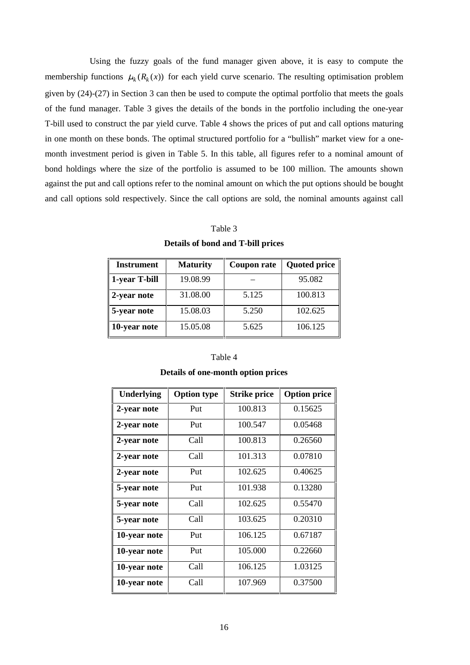Using the fuzzy goals of the fund manager given above, it is easy to compute the membership functions  $\mu_k(R_k(x))$  for each yield curve scenario. The resulting optimisation problem given by (24)-(27) in Section 3 can then be used to compute the optimal portfolio that meets the goals of the fund manager. Table 3 gives the details of the bonds in the portfolio including the one-year T-bill used to construct the par yield curve. Table 4 shows the prices of put and call options maturing in one month on these bonds. The optimal structured portfolio for a "bullish" market view for a onemonth investment period is given in Table 5. In this table, all figures refer to a nominal amount of bond holdings where the size of the portfolio is assumed to be 100 million. The amounts shown against the put and call options refer to the nominal amount on which the put options should be bought and call options sold respectively. Since the call options are sold, the nominal amounts against call

#### Table 3

| <b>Details of bond and T-bill prices</b> |  |  |  |  |  |
|------------------------------------------|--|--|--|--|--|
|------------------------------------------|--|--|--|--|--|

| <b>Instrument</b>   | <b>Maturity</b> | <b>Coupon rate</b> | <b>Quoted price</b> |
|---------------------|-----------------|--------------------|---------------------|
| 1-year T-bill       | 19.08.99        |                    | 95.082              |
| 2-year note         | 31.08.00        | 5.125              | 100.813             |
| $\vert$ 5-year note | 15.08.03        | 5.250              | 102.625             |
| 10-year note        | 15.05.08        | 5.625              | 106.125             |

#### Table 4

| <b>Underlying</b> | <b>Option type</b> | <b>Strike price</b> | <b>Option price</b> |
|-------------------|--------------------|---------------------|---------------------|
| 2-year note       | Put                | 100.813             | 0.15625             |
| 2-year note       | Put                | 100.547             | 0.05468             |
| 2-year note       | Call               | 100.813             | 0.26560             |
| 2-year note       | Call               | 101.313             | 0.07810             |
| 2-year note       | Put                | 102.625             | 0.40625             |
| 5-year note       | Put                | 101.938             | 0.13280             |
| 5-year note       | Call               | 102.625             | 0.55470             |
| 5-year note       | Call               | 103.625             | 0.20310             |
| 10-year note      | Put                | 106.125             | 0.67187             |
| 10-year note      | Put                | 105.000             | 0.22660             |
| 10-year note      | Call               | 106.125             | 1.03125             |
| 10-year note      | Call               | 107.969             | 0.37500             |

#### **Details of one-month option prices**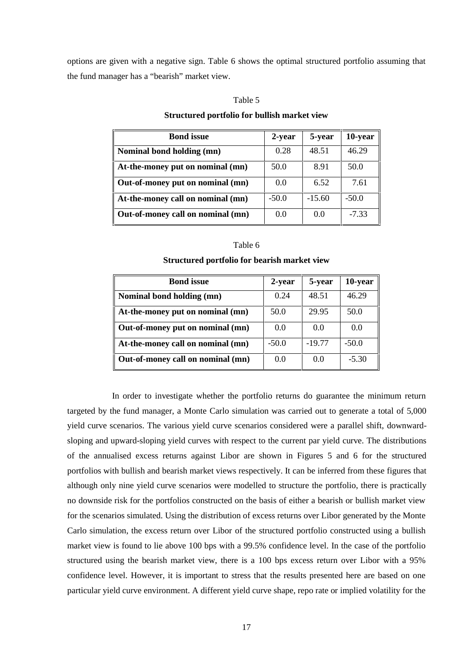options are given with a negative sign. Table 6 shows the optimal structured portfolio assuming that the fund manager has a "bearish" market view.

#### Table 5

#### **Structured portfolio for bullish market view**

| <b>Bond</b> issue                 | 2-year  | 5-year   | 10-year |
|-----------------------------------|---------|----------|---------|
| Nominal bond holding (mn)         | 0.28    | 48.51    | 46.29   |
| At-the-money put on nominal (mn)  | 50.0    | 8.91     | 50.0    |
| Out-of-money put on nominal (mn)  | 0.0     | 6.52     | 7.61    |
| At-the-money call on nominal (mn) | $-50.0$ | $-15.60$ | $-50.0$ |
| Out-of-money call on nominal (mn) | 0.0     | 0.0      | $-7.33$ |

#### Table 6

#### **Structured portfolio for bearish market view**

| <b>Bond</b> issue                 | 2-year  | 5-year   | 10-year |
|-----------------------------------|---------|----------|---------|
| Nominal bond holding (mn)         | 0.24    | 48.51    | 46.29   |
| At-the-money put on nominal (mn)  | 50.0    | 29.95    | 50.0    |
| Out-of-money put on nominal (mn)  | 0.0     | 0.0      | 0.0     |
| At-the-money call on nominal (mn) | $-50.0$ | $-19.77$ | $-50.0$ |
| Out-of-money call on nominal (mn) | 0.0     | 0.0      | $-5.30$ |

In order to investigate whether the portfolio returns do guarantee the minimum return targeted by the fund manager, a Monte Carlo simulation was carried out to generate a total of 5,000 yield curve scenarios. The various yield curve scenarios considered were a parallel shift, downwardsloping and upward-sloping yield curves with respect to the current par yield curve. The distributions of the annualised excess returns against Libor are shown in Figures 5 and 6 for the structured portfolios with bullish and bearish market views respectively. It can be inferred from these figures that although only nine yield curve scenarios were modelled to structure the portfolio, there is practically no downside risk for the portfolios constructed on the basis of either a bearish or bullish market view for the scenarios simulated. Using the distribution of excess returns over Libor generated by the Monte Carlo simulation, the excess return over Libor of the structured portfolio constructed using a bullish market view is found to lie above 100 bps with a 99.5% confidence level. In the case of the portfolio structured using the bearish market view, there is a 100 bps excess return over Libor with a 95% confidence level. However, it is important to stress that the results presented here are based on one particular yield curve environment. A different yield curve shape, repo rate or implied volatility for the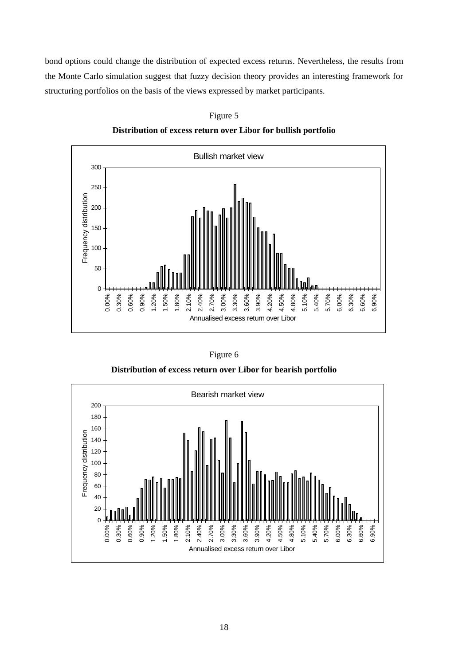bond options could change the distribution of expected excess returns. Nevertheless, the results from the Monte Carlo simulation suggest that fuzzy decision theory provides an interesting framework for structuring portfolios on the basis of the views expressed by market participants.



Figure 5 **Distribution of excess return over Libor for bullish portfolio**

| VHF<br>e |  |
|----------|--|
|----------|--|

**Distribution of excess return over Libor for bearish portfolio**

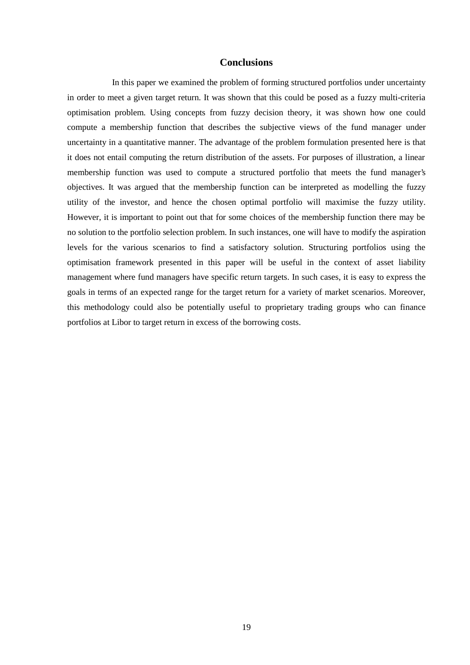## **Conclusions**

In this paper we examined the problem of forming structured portfolios under uncertainty in order to meet a given target return. It was shown that this could be posed as a fuzzy multi-criteria optimisation problem. Using concepts from fuzzy decision theory, it was shown how one could compute a membership function that describes the subjective views of the fund manager under uncertainty in a quantitative manner. The advantage of the problem formulation presented here is that it does not entail computing the return distribution of the assets. For purposes of illustration, a linear membership function was used to compute a structured portfolio that meets the fund manager's objectives. It was argued that the membership function can be interpreted as modelling the fuzzy utility of the investor, and hence the chosen optimal portfolio will maximise the fuzzy utility. However, it is important to point out that for some choices of the membership function there may be no solution to the portfolio selection problem. In such instances, one will have to modify the aspiration levels for the various scenarios to find a satisfactory solution. Structuring portfolios using the optimisation framework presented in this paper will be useful in the context of asset liability management where fund managers have specific return targets. In such cases, it is easy to express the goals in terms of an expected range for the target return for a variety of market scenarios. Moreover, this methodology could also be potentially useful to proprietary trading groups who can finance portfolios at Libor to target return in excess of the borrowing costs.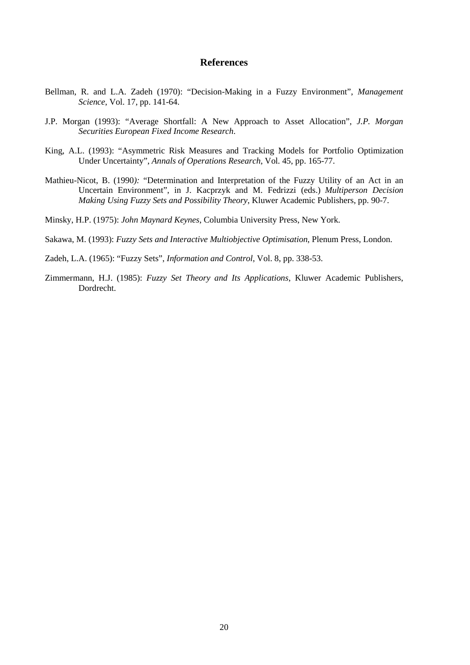## **References**

- Bellman, R. and L.A. Zadeh (1970): "Decision-Making in a Fuzzy Environment", *Management Science*, Vol. 17, pp. 141-64.
- J.P. Morgan (1993): "Average Shortfall: A New Approach to Asset Allocation", *J.P. Morgan Securities European Fixed Income Research*.
- King, A.L. (1993): "Asymmetric Risk Measures and Tracking Models for Portfolio Optimization Under Uncertainty", *Annals of Operations Research*, Vol. 45, pp. 165-77.
- Mathieu-Nicot, B. (1990*):* "Determination and Interpretation of the Fuzzy Utility of an Act in an Uncertain Environment", in J. Kacprzyk and M. Fedrizzi (eds.) *Multiperson Decision Making Using Fuzzy Sets and Possibility Theory*, Kluwer Academic Publishers, pp. 90-7.
- Minsky, H.P. (1975): *John Maynard Keynes*, Columbia University Press, New York.

Sakawa, M. (1993): *Fuzzy Sets and Interactive Multiobjective Optimisation*, Plenum Press, London.

- Zadeh, L.A. (1965): "Fuzzy Sets", *Information and Control*, Vol. 8, pp. 338-53.
- Zimmermann, H.J. (1985): *Fuzzy Set Theory and Its Applications*, Kluwer Academic Publishers, Dordrecht.